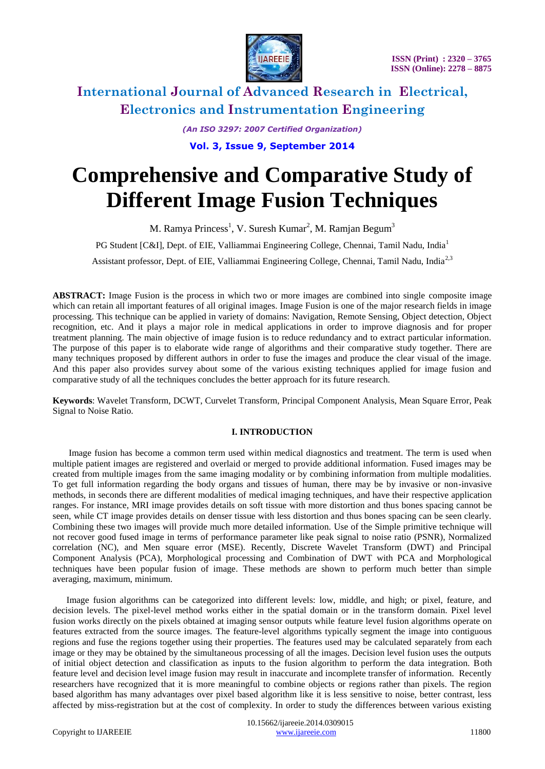

*(An ISO 3297: 2007 Certified Organization)*

**Vol. 3, Issue 9, September 2014**

# **Comprehensive and Comparative Study of Different Image Fusion Techniques**

M. Ramya Princess $^1$ , V. Suresh Kumar $^2$ , M. Ramjan Begum $^3$ 

PG Student [C&I], Dept. of EIE, Valliammai Engineering College, Chennai, Tamil Nadu, India<sup>1</sup>

Assistant professor, Dept. of EIE, Valliammai Engineering College, Chennai, Tamil Nadu, India<sup>2,3</sup>

**ABSTRACT:** Image Fusion is the process in which two or more images are combined into single composite image which can retain all important features of all original images. Image Fusion is one of the major research fields in image processing. This technique can be applied in variety of domains: Navigation, Remote Sensing, Object detection, Object recognition, etc. And it plays a major role in medical applications in order to improve diagnosis and for proper treatment planning. The main objective of image fusion is to reduce redundancy and to extract particular information. The purpose of this paper is to elaborate wide range of algorithms and their comparative study together. There are many techniques proposed by different authors in order to fuse the images and produce the clear visual of the image. And this paper also provides survey about some of the various existing techniques applied for image fusion and comparative study of all the techniques concludes the better approach for its future research.

**Keywords**: Wavelet Transform, DCWT, Curvelet Transform, Principal Component Analysis, Mean Square Error, Peak Signal to Noise Ratio.

# **I. INTRODUCTION**

 Image fusion has become a common term used within medical diagnostics and treatment. The term is used when multiple patient images are registered and overlaid or merged to provide additional information. Fused images may be created from multiple images from the same imaging modality or by combining information from multiple modalities. To get full information regarding the body organs and tissues of human, there may be by invasive or non-invasive methods, in seconds there are different modalities of medical imaging techniques, and have their respective application ranges. For instance, MRI image provides details on soft tissue with more distortion and thus bones spacing cannot be seen, while CT image provides details on denser tissue with less distortion and thus bones spacing can be seen clearly. Combining these two images will provide much more detailed information. Use of the Simple primitive technique will not recover good fused image in terms of performance parameter like peak signal to noise ratio (PSNR), Normalized correlation (NC), and Men square error (MSE). Recently, Discrete Wavelet Transform (DWT) and Principal Component Analysis (PCA), Morphological processing and Combination of DWT with PCA and Morphological techniques have been popular fusion of image. These methods are shown to perform much better than simple averaging, maximum, minimum.

 Image fusion algorithms can be categorized into different levels: low, middle, and high; or pixel, feature, and decision levels. The pixel-level method works either in the spatial domain or in the transform domain. Pixel level fusion works directly on the pixels obtained at imaging sensor outputs while feature level fusion algorithms operate on features extracted from the source images. The feature-level algorithms typically segment the image into contiguous regions and fuse the regions together using their properties. The features used may be calculated separately from each image or they may be obtained by the simultaneous processing of all the images. Decision level fusion uses the outputs of initial object detection and classification as inputs to the fusion algorithm to perform the data integration. Both feature level and decision level image fusion may result in inaccurate and incomplete transfer of information. Recently researchers have recognized that it is more meaningful to combine objects or regions rather than pixels. The region based algorithm has many advantages over pixel based algorithm like it is less sensitive to noise, better contrast, less affected by miss-registration but at the cost of complexity. In order to study the differences between various existing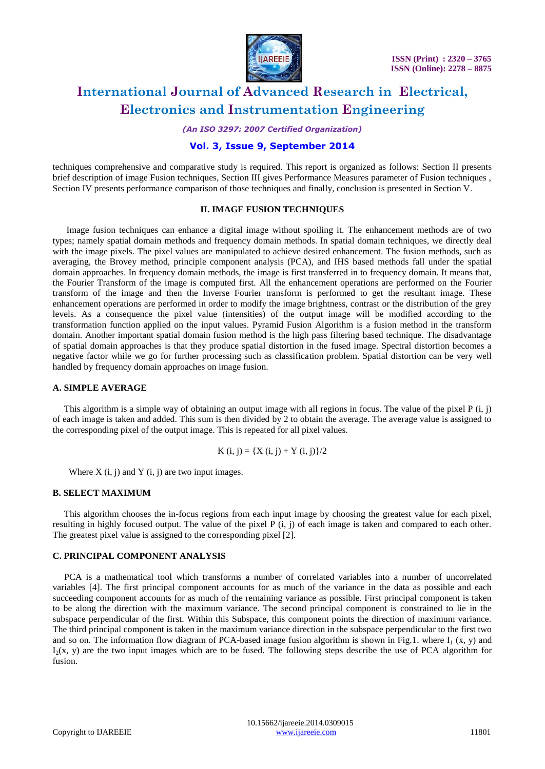

*(An ISO 3297: 2007 Certified Organization)*

# **Vol. 3, Issue 9, September 2014**

techniques comprehensive and comparative study is required. This report is organized as follows: Section II presents brief description of image Fusion techniques, Section III gives Performance Measures parameter of Fusion techniques , Section IV presents performance comparison of those techniques and finally, conclusion is presented in Section V.

#### **II. IMAGE FUSION TECHNIQUES**

 Image fusion techniques can enhance a digital image without spoiling it. The enhancement methods are of two types; namely spatial domain methods and frequency domain methods. In spatial domain techniques, we directly deal with the image pixels. The pixel values are manipulated to achieve desired enhancement. The fusion methods, such as averaging, the Brovey method, principle component analysis (PCA), and IHS based methods fall under the spatial domain approaches. In frequency domain methods, the image is first transferred in to frequency domain. It means that, the Fourier Transform of the image is computed first. All the enhancement operations are performed on the Fourier transform of the image and then the Inverse Fourier transform is performed to get the resultant image. These enhancement operations are performed in order to modify the image brightness, contrast or the distribution of the grey levels. As a consequence the pixel value (intensities) of the output image will be modified according to the transformation function applied on the input values. Pyramid Fusion Algorithm is a fusion method in the transform domain. Another important spatial domain fusion method is the high pass filtering based technique. The disadvantage of spatial domain approaches is that they produce spatial distortion in the fused image. Spectral distortion becomes a negative factor while we go for further processing such as classification problem. Spatial distortion can be very well handled by frequency domain approaches on image fusion.

#### **A. SIMPLE AVERAGE**

 This algorithm is a simple way of obtaining an output image with all regions in focus. The value of the pixel P (i, j) of each image is taken and added. This sum is then divided by 2 to obtain the average. The average value is assigned to the corresponding pixel of the output image. This is repeated for all pixel values.

$$
K(i, j) = \{ X(i, j) + Y(i, j) \}/2
$$

Where  $X(i, j)$  and  $Y(i, j)$  are two input images.

#### **B. SELECT MAXIMUM**

This algorithm chooses the in-focus regions from each input image by choosing the greatest value for each pixel, resulting in highly focused output. The value of the pixel P (i, j) of each image is taken and compared to each other. The greatest pixel value is assigned to the corresponding pixel [2].

### **C. PRINCIPAL COMPONENT ANALYSIS**

 PCA is a mathematical tool which transforms a number of correlated variables into a number of uncorrelated variables [4]. The first principal component accounts for as much of the variance in the data as possible and each succeeding component accounts for as much of the remaining variance as possible. First principal component is taken to be along the direction with the maximum variance. The second principal component is constrained to lie in the subspace perpendicular of the first. Within this Subspace, this component points the direction of maximum variance. The third principal component is taken in the maximum variance direction in the subspace perpendicular to the first two and so on. The information flow diagram of PCA-based image fusion algorithm is shown in Fig.1. where  $I_1(x, y)$  and  $I_2(x, y)$  are the two input images which are to be fused. The following steps describe the use of PCA algorithm for fusion.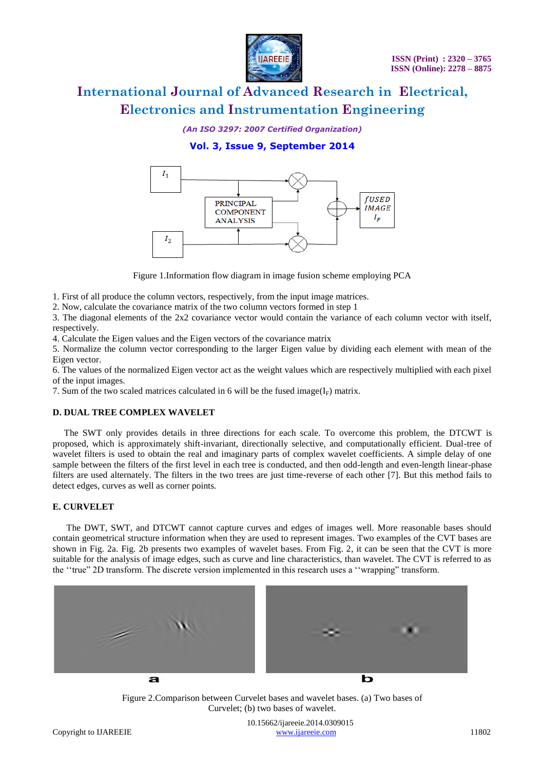

*(An ISO 3297: 2007 Certified Organization)*

# **Vol. 3, Issue 9, September 2014**



Figure 1.Information flow diagram in image fusion scheme employing PCA

1. First of all produce the column vectors, respectively, from the input image matrices.

2. Now, calculate the covariance matrix of the two column vectors formed in step 1

3. The diagonal elements of the 2x2 covariance vector would contain the variance of each column vector with itself, respectively.

4. Calculate the Eigen values and the Eigen vectors of the covariance matrix

5. Normalize the column vector corresponding to the larger Eigen value by dividing each element with mean of the Eigen vector.

6. The values of the normalized Eigen vector act as the weight values which are respectively multiplied with each pixel of the input images.

7. Sum of the two scaled matrices calculated in 6 will be the fused image( $I_F$ ) matrix.

### **D. DUAL TREE COMPLEX WAVELET**

 The SWT only provides details in three directions for each scale. To overcome this problem, the DTCWT is proposed, which is approximately shift-invariant, directionally selective, and computationally efficient. Dual-tree of wavelet filters is used to obtain the real and imaginary parts of complex wavelet coefficients. A simple delay of one sample between the filters of the first level in each tree is conducted, and then odd-length and even-length linear-phase filters are used alternately. The filters in the two trees are just time-reverse of each other [7]. But this method fails to detect edges, curves as well as corner points.

# **E. CURVELET**

 The DWT, SWT, and DTCWT cannot capture curves and edges of images well. More reasonable bases should contain geometrical structure information when they are used to represent images. Two examples of the CVT bases are shown in Fig. 2a. Fig. 2b presents two examples of wavelet bases. From Fig. 2, it can be seen that the CVT is more suitable for the analysis of image edges, such as curve and line characteristics, than wavelet. The CVT is referred to as the ""true" 2D transform. The discrete version implemented in this research uses a ""wrapping" transform.



Figure 2.Comparison between Curvelet bases and wavelet bases. (a) Two bases of Curvelet; (b) two bases of wavelet.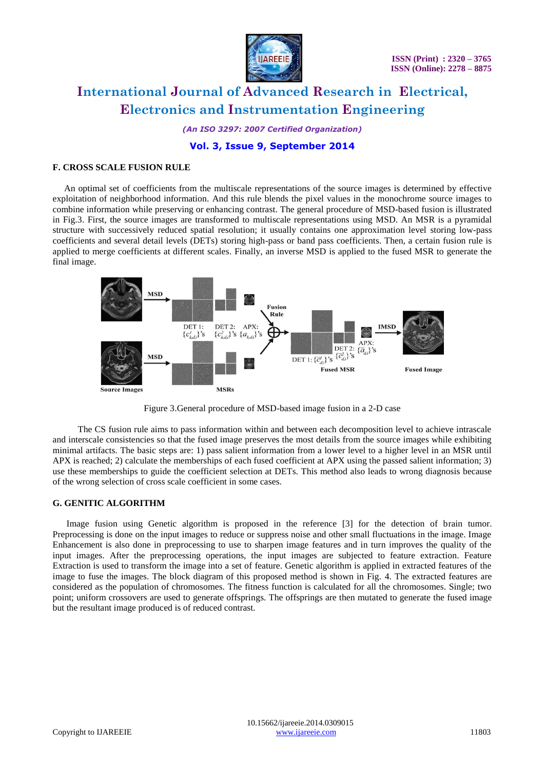

*(An ISO 3297: 2007 Certified Organization)*

# **Vol. 3, Issue 9, September 2014**

### **F. CROSS SCALE FUSION RULE**

An optimal set of coefficients from the multiscale representations of the source images is determined by effective exploitation of neighborhood information. And this rule blends the pixel values in the monochrome source images to combine information while preserving or enhancing contrast. The general procedure of MSD-based fusion is illustrated in Fig.3. First, the source images are transformed to multiscale representations using MSD. An MSR is a pyramidal structure with successively reduced spatial resolution; it usually contains one approximation level storing low-pass coefficients and several detail levels (DETs) storing high-pass or band pass coefficients. Then, a certain fusion rule is applied to merge coefficients at different scales. Finally, an inverse MSD is applied to the fused MSR to generate the final image.



Figure 3.General procedure of MSD-based image fusion in a 2-D case

 The CS fusion rule aims to pass information within and between each decomposition level to achieve intrascale and interscale consistencies so that the fused image preserves the most details from the source images while exhibiting minimal artifacts. The basic steps are: 1) pass salient information from a lower level to a higher level in an MSR until APX is reached; 2) calculate the memberships of each fused coefficient at APX using the passed salient information; 3) use these memberships to guide the coefficient selection at DETs. This method also leads to wrong diagnosis because of the wrong selection of cross scale coefficient in some cases.

#### **G. GENITIC ALGORITHM**

 Image fusion using Genetic algorithm is proposed in the reference [3] for the detection of brain tumor. Preprocessing is done on the input images to reduce or suppress noise and other small fluctuations in the image. Image Enhancement is also done in preprocessing to use to sharpen image features and in turn improves the quality of the input images. After the preprocessing operations, the input images are subjected to feature extraction. Feature Extraction is used to transform the image into a set of feature. Genetic algorithm is applied in extracted features of the image to fuse the images. The block diagram of this proposed method is shown in Fig. 4. The extracted features are considered as the population of chromosomes. The fitness function is calculated for all the chromosomes. Single; two point; uniform crossovers are used to generate offsprings. The offsprings are then mutated to generate the fused image but the resultant image produced is of reduced contrast.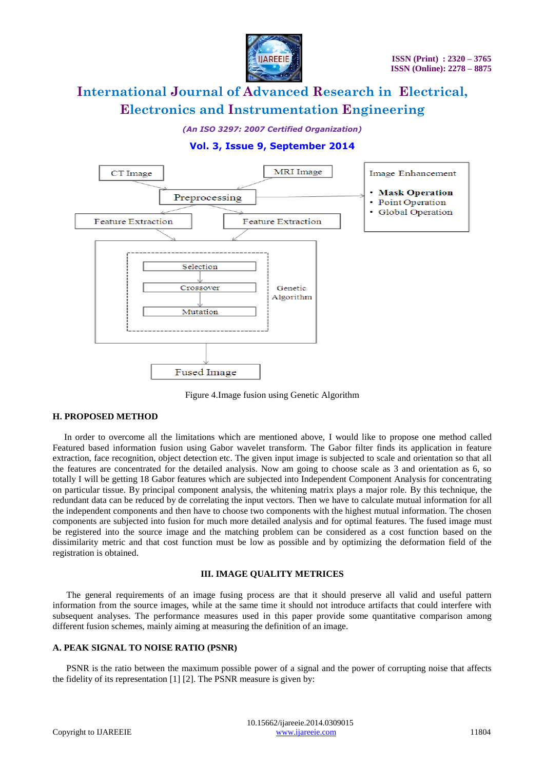

*(An ISO 3297: 2007 Certified Organization)*

# **Vol. 3, Issue 9, September 2014**



Figure 4.Image fusion using Genetic Algorithm

# **H. PROPOSED METHOD**

 In order to overcome all the limitations which are mentioned above, I would like to propose one method called Featured based information fusion using Gabor wavelet transform. The Gabor filter finds its application in feature extraction, face recognition, object detection etc. The given input image is subjected to scale and orientation so that all the features are concentrated for the detailed analysis. Now am going to choose scale as 3 and orientation as 6, so totally I will be getting 18 Gabor features which are subjected into Independent Component Analysis for concentrating on particular tissue. By principal component analysis, the whitening matrix plays a major role. By this technique, the redundant data can be reduced by de correlating the input vectors. Then we have to calculate mutual information for all the independent components and then have to choose two components with the highest mutual information. The chosen components are subjected into fusion for much more detailed analysis and for optimal features. The fused image must be registered into the source image and the matching problem can be considered as a cost function based on the dissimilarity metric and that cost function must be low as possible and by optimizing the deformation field of the registration is obtained.

### **III. IMAGE QUALITY METRICES**

 The general requirements of an image fusing process are that it should preserve all valid and useful pattern information from the source images, while at the same time it should not introduce artifacts that could interfere with subsequent analyses. The performance measures used in this paper provide some quantitative comparison among different fusion schemes, mainly aiming at measuring the definition of an image.

### **A. PEAK SIGNAL TO NOISE RATIO (PSNR)**

**PSNR** is the ratio between the maximum possible power of a signal and the power of corrupting noise that affects the fidelity of its representation [1] [2]. The PSNR measure is given by: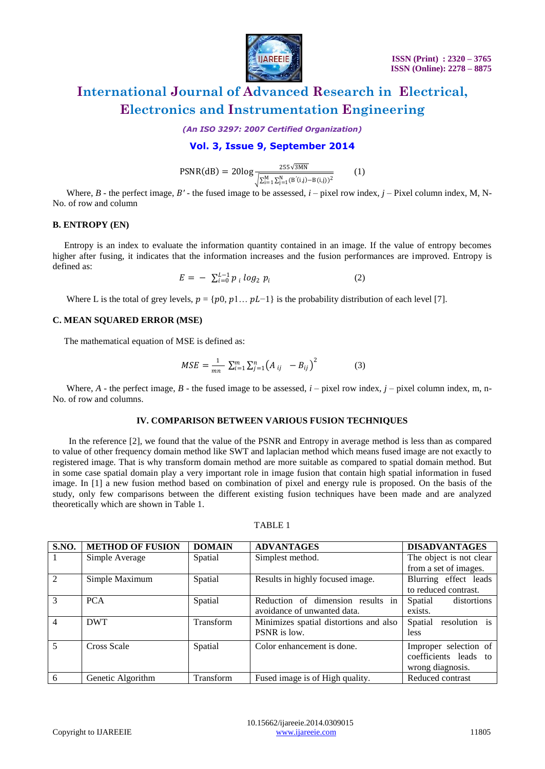

*(An ISO 3297: 2007 Certified Organization)*

# **Vol. 3, Issue 9, September 2014**

 $PSNR(dB) = 20log \frac{255\sqrt{3}MN}{\sqrt{\sum_{i=1}^{M} \sum_{j=1}^{N} (B^{'}(i,j)-B(i,j))^2}}$ (1)

Where,  $B$  - the perfect image,  $B'$  - the fused image to be assessed,  $i$  – pixel row index,  $j$  – Pixel column index, M, N-No. of row and column

### **B. ENTROPY (EN)**

Entropy is an index to evaluate the information quantity contained in an image. If the value of entropy becomes higher after fusing, it indicates that the information increases and the fusion performances are improved. Entropy is defined as:

> $E = - \sum_{i=0}^{L-1} p_i log_2 p_i$ (2)

Where L is the total of grey levels,  $p = \{p0, p1... pL-1\}$  is the probability distribution of each level [7].

### **C. MEAN SQUARED ERROR (MSE)**

The mathematical equation of MSE is defined as:

$$
MSE = \frac{1}{mn} \sum_{i=1}^{m} \sum_{j=1}^{n} (A_{ij} - B_{ij})^{2}
$$
 (3)

Where,  $A$  - the perfect image,  $B$  - the fused image to be assessed,  $i$  – pixel row index,  $j$  – pixel column index, m, n-No. of row and columns.

### **IV. COMPARISON BETWEEN VARIOUS FUSION TECHNIQUES**

 In the reference [2], we found that the value of the PSNR and Entropy in average method is less than as compared to value of other frequency domain method like SWT and laplacian method which means fused image are not exactly to registered image. That is why transform domain method are more suitable as compared to spatial domain method. But in some case spatial domain play a very important role in image fusion that contain high spatial information in fused image. In [1] a new fusion method based on combination of pixel and energy rule is proposed. On the basis of the study, only few comparisons between the different existing fusion techniques have been made and are analyzed theoretically which are shown in Table 1.

### TABLE 1

| <b>S.NO.</b>    | <b>METHOD OF FUSION</b> | <b>DOMAIN</b> | <b>ADVANTAGES</b>                      | <b>DISADVANTAGES</b>     |
|-----------------|-------------------------|---------------|----------------------------------------|--------------------------|
|                 | Simple Average          | Spatial       | Simplest method.                       | The object is not clear  |
|                 |                         |               |                                        | from a set of images.    |
| 2               | Simple Maximum          | Spatial       | Results in highly focused image.       | Blurring effect leads    |
|                 |                         |               |                                        | to reduced contrast.     |
| $\mathcal{E}$   | <b>PCA</b>              | Spatial       | Reduction of dimension results in      | Spatial<br>distortions   |
|                 |                         |               | avoidance of unwanted data.            | exists.                  |
| $\overline{4}$  | <b>DWT</b>              | Transform     | Minimizes spatial distortions and also | resolution is<br>Spatial |
|                 |                         |               | PSNR is low.                           | <i>less</i>              |
| $5\overline{5}$ | Cross Scale             | Spatial       | Color enhancement is done.             | Improper selection of    |
|                 |                         |               |                                        | coefficients leads to    |
|                 |                         |               |                                        | wrong diagnosis.         |
| $6\phantom{.}6$ | Genetic Algorithm       | Transform     | Fused image is of High quality.        | Reduced contrast         |